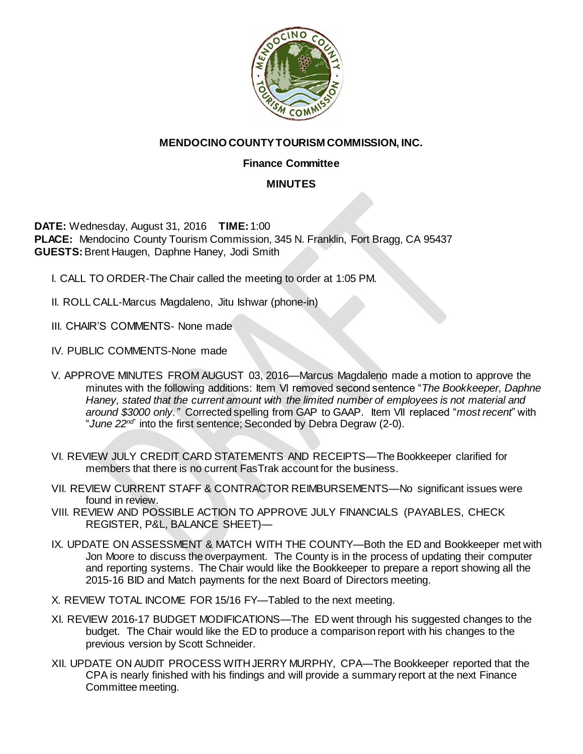

## **MENDOCINO COUNTY TOURISM COMMISSION, INC.**

## **Finance Committee**

## **MINUTES**

**DATE:** Wednesday, August 31, 2016 **TIME:** 1:00 **PLACE:** Mendocino County Tourism Commission, 345 N. Franklin, Fort Bragg, CA 95437 **GUESTS:** Brent Haugen, Daphne Haney, Jodi Smith

- I. CALL TO ORDER-The Chair called the meeting to order at 1:05 PM.
- II. ROLL CALL-Marcus Magdaleno, Jitu Ishwar (phone-in)
- III. CHAIR'S COMMENTS- None made
- IV. PUBLIC COMMENTS-None made
- V. APPROVE MINUTES FROM AUGUST 03, 2016—Marcus Magdaleno made a motion to approve the minutes with the following additions: Item VI removed second sentence "*The Bookkeeper, Daphne Haney, stated that the current amount with the limited number of employees is not material and around \$3000 only."*Corrected spelling from GAP to GAAP. Item VII replaced "*most recent*" with "*June 22nd*" into the first sentence; Seconded by Debra Degraw (2-0).
- VI. REVIEW JULY CREDIT CARD STATEMENTS AND RECEIPTS—The Bookkeeper clarified for members that there is no current FasTrak account for the business.
- VII. REVIEW CURRENT STAFF & CONTRACTOR REIMBURSEMENTS—No significant issues were found in review.
- VIII. REVIEW AND POSSIBLE ACTION TO APPROVE JULY FINANCIALS (PAYABLES, CHECK REGISTER, P&L, BALANCE SHEET)—
- IX. UPDATE ON ASSESSMENT & MATCH WITH THE COUNTY—Both the ED and Bookkeeper met with Jon Moore to discuss the overpayment. The County is in the process of updating their computer and reporting systems. The Chair would like the Bookkeeper to prepare a report showing all the 2015-16 BID and Match payments for the next Board of Directors meeting.
- X. REVIEW TOTAL INCOME FOR 15/16 FY—Tabled to the next meeting.
- XI. REVIEW 2016-17 BUDGET MODIFICATIONS—The ED went through his suggested changes to the budget. The Chair would like the ED to produce a comparison report with his changes to the previous version by Scott Schneider.
- XII. UPDATE ON AUDIT PROCESS WITH JERRY MURPHY, CPA—The Bookkeeper reported that the CPA is nearly finished with his findings and will provide a summary report at the next Finance Committee meeting.